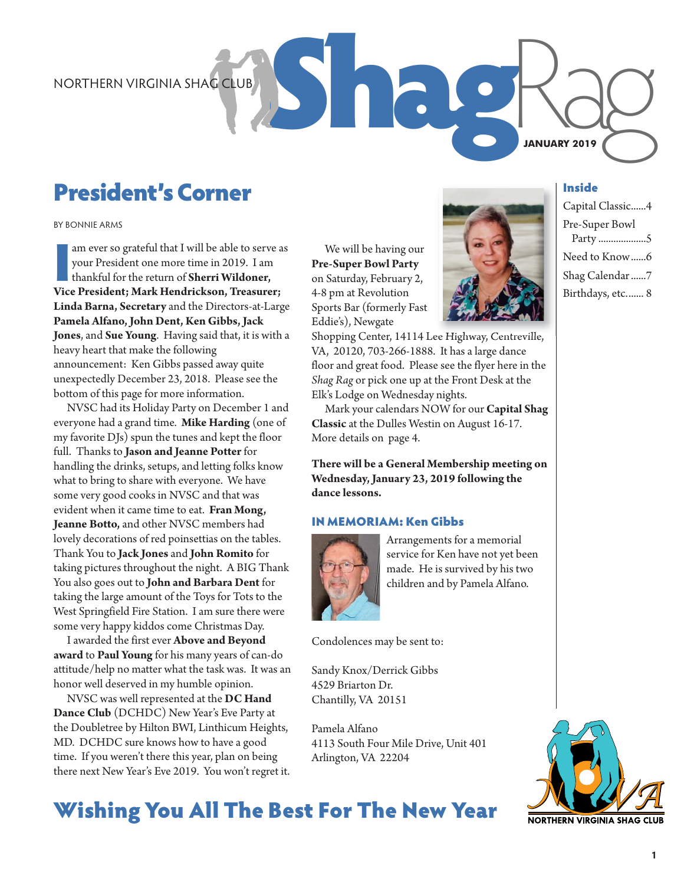# President's Corner

BY BONNIE ARMS

am ever so grateful that I will be able to serve a<br>your President one more time in 2019. I am<br>thankful for the return of **Sherri Wildoner,**<br>Vice President; Mark Hendrickson, Treasurer; am ever so grateful that I will be able to serve as your President one more time in 2019. I am thankful for the return of **Sherri Wildoner, Linda Barna, Secretary** and the Directors-at-Large **Pamela Alfano, John Dent, Ken Gibbs, Jack Jones**, and **Sue Young**. Having said that, it is with a heavy heart that make the following announcement: Ken Gibbs passed away quite unexpectedly December 23, 2018. Please see the bottom of this page for more information.

NVSC had its Holiday Party on December 1 and everyone had a grand time. **Mike Harding** (one of my favorite DJs) spun the tunes and kept the floor full. Thanks to **Jason and Jeanne Potter** for handling the drinks, setups, and letting folks know what to bring to share with everyone. We have some very good cooks in NVSC and that was evident when it came time to eat. **Fran Mong, Jeanne Botto,** and other NVSC members had lovely decorations of red poinsettias on the tables. Thank You to **Jack Jones** and **John Romito** for taking pictures throughout the night. A BIG Thank You also goes out to **John and Barbara Dent** for taking the large amount of the Toys for Tots to the West Springfield Fire Station. I am sure there were some very happy kiddos come Christmas Day.

I awarded the first ever **Above and Beyond award** to **Paul Young** for his many years of can-do attitude/help no matter what the task was. It was an honor well deserved in my humble opinion.

NVSC was well represented at the **DC Hand Dance Club** (DCHDC) New Year's Eve Party at the Doubletree by Hilton BWI, Linthicum Heights, MD. DCHDC sure knows how to have a good time. If you weren't there this year, plan on being there next New Year's Eve 2019. You won't regret it.

We will be having our **Pre-Super Bowl Party** on Saturday, February 2, 4-8 pm at Revolution Sports Bar (formerly Fast Eddie's), Newgate

Shopping Center, 14114 Lee Highway, Centreville, VA, 20120, 703-266-1888. It has a large dance floor and great food. Please see the flyer here in the *Shag Rag* or pick one up at the Front Desk at the Elk's Lodge on Wednesday nights.

Mark your calendars NOW for our **Capital Shag Classic** at the Dulles Westin on August 16-17. More details on page 4.

**There will be a General Membership meeting on Wednesday, January 23, 2019 following the dance lessons.**

### IN MEMORIAM: Ken Gibbs



Arrangements for a memorial service for Ken have not yet been made. He is survived by his two children and by Pamela Alfano.

Condolences may be sent to:

Sandy Knox/Derrick Gibbs 4529 Briarton Dr. Chantilly, VA 20151

Pamela Alfano 4113 South Four Mile Drive, Unit 401 Arlington, VA 22204



Inside

**JANUARY 2019**

Capital Classic......4 Pre-Super Bowl Party ...................5 Need to Know ......6 Shag Calendar ......7 Birthdays, etc....... 8



## Wishing You All The Best For The New Year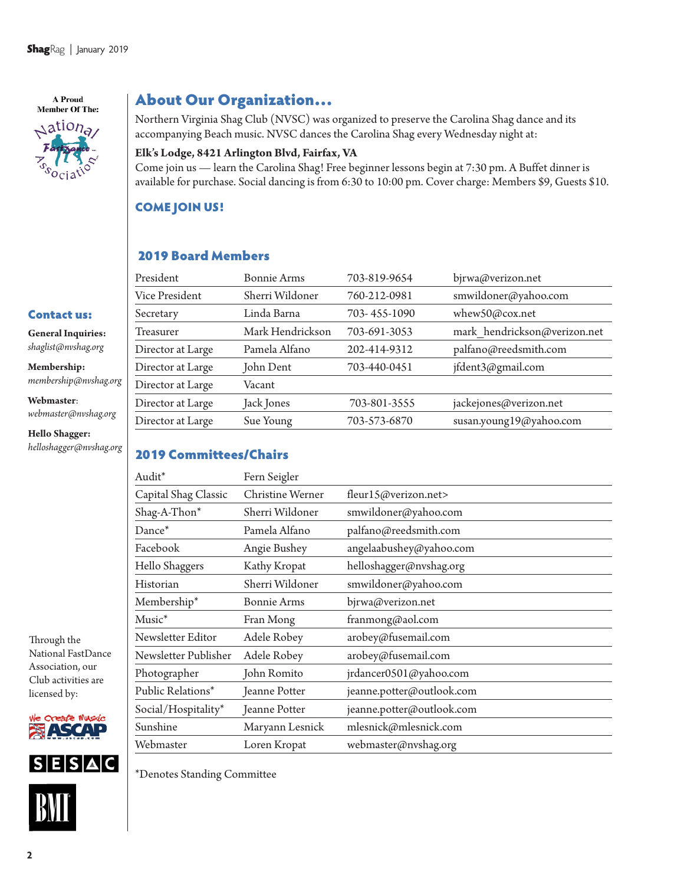A Proud **Member Of The:**  $\triangle$ ation<sub>a</sub>

**Hello Shagger:** *helloshagger@nvshag.org*

### About Our Organization…

Northern Virginia Shag Club (NVSC) was organized to preserve the Carolina Shag dance and its accompanying Beach music. NVSC dances the Carolina Shag every Wednesday night at:

### **Elk's Lodge, 8421 Arlington Blvd, Fairfax, VA**

Come join us — learn the Carolina Shag! Free beginner lessons begin at 7:30 pm. A Buffet dinner is available for purchase. Social dancing is from 6:30 to 10:00 pm. Cover charge: Members \$9, Guests \$10.

### COME JOIN US!

### 2019 Board Members

|                                                  | President         | <b>Bonnie Arms</b> | 703-819-9654 | bjrwa@verizon.net            |
|--------------------------------------------------|-------------------|--------------------|--------------|------------------------------|
|                                                  | Vice President    | Sherri Wildoner    | 760-212-0981 | smwildoner@yahoo.com         |
| <b>Contact us:</b>                               | Secretary         | Linda Barna        | 703-455-1090 | whew50@cox.net               |
| <b>General Inquiries:</b><br>shaglist@nvshag.org | <b>Treasurer</b>  | Mark Hendrickson   | 703-691-3053 | mark hendrickson@verizon.net |
|                                                  | Director at Large | Pamela Alfano      | 202-414-9312 | palfano@reedsmith.com        |
| Membership:<br>membership@nvshag.org             | Director at Large | John Dent          | 703-440-0451 | jfdent3@gmail.com            |
|                                                  | Director at Large | Vacant             |              |                              |
| Webmaster:<br>webmaster@nvshag.org               | Director at Large | Jack Jones         | 703-801-3555 | jackejones@verizon.net       |
|                                                  | Director at Large | Sue Young          | 703-573-6870 | susan.young19@yahoo.com      |
| $H_2H_3$ . $H_3$ and $H_4$                       |                   |                    |              |                              |

### 2019 Committees/Chairs

| Audit*                                   | Fern Seigler                            |                           |  |  |
|------------------------------------------|-----------------------------------------|---------------------------|--|--|
| Capital Shag Classic<br>Christine Werner |                                         | fleur15@verizon.net>      |  |  |
| Shag-A-Thon*                             | Sherri Wildoner                         | smwildoner@yahoo.com      |  |  |
| Dance*                                   | Pamela Alfano                           | palfano@reedsmith.com     |  |  |
| Facebook                                 | Angie Bushey                            | angelaabushey@yahoo.com   |  |  |
| Hello Shaggers                           | Kathy Kropat<br>helloshagger@nvshag.org |                           |  |  |
| Historian                                | Sherri Wildoner                         | smwildoner@yahoo.com      |  |  |
| Membership*                              | <b>Bonnie Arms</b>                      | bjrwa@verizon.net         |  |  |
| Music <sup>*</sup>                       | Fran Mong                               | franmong@aol.com          |  |  |
| Newsletter Editor                        | Adele Robey                             | arobey@fusemail.com       |  |  |
| Newsletter Publisher                     | Adele Robey                             | arobey@fusemail.com       |  |  |
| Photographer                             | John Romito                             | jrdancer0501@yahoo.com    |  |  |
| Public Relations*                        | Jeanne Potter                           | jeanne.potter@outlook.com |  |  |
| Social/Hospitality*                      | Jeanne Potter                           | jeanne.potter@outlook.com |  |  |
| Sunshine                                 | Maryann Lesnick                         | mlesnick@mlesnick.com     |  |  |
| Webmaster                                | Loren Kropat                            | webmaster@nvshag.org      |  |  |

Through the National FastDance Association, our Club activities are licensed by:





\*Denotes Standing Committee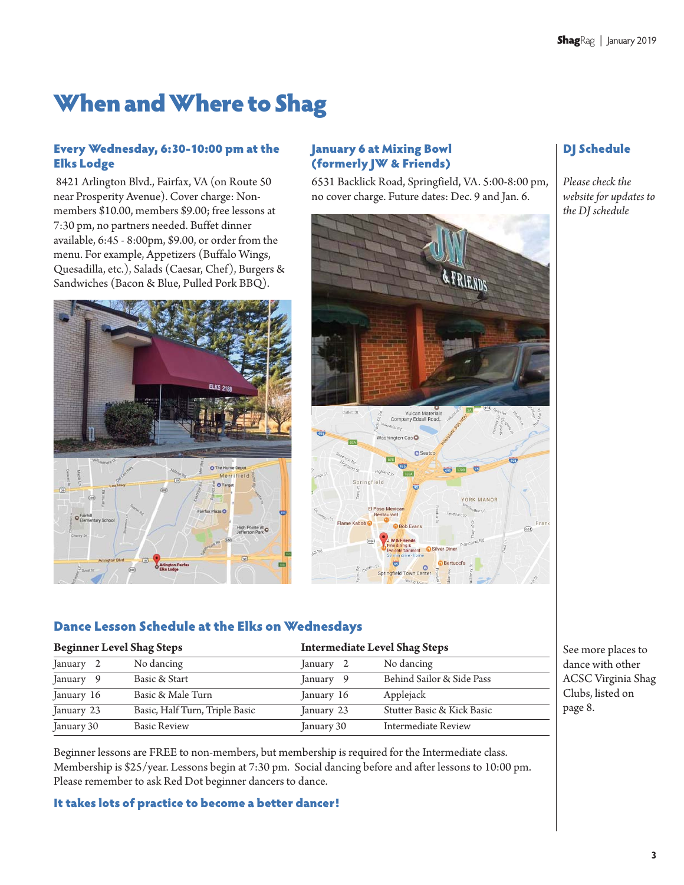# When and Where to Shag

### Every Wednesday, 6:30-10:00 pm at the Elks Lodge

8421 Arlington Blvd., Fairfax, VA (on Route 50 near Prosperity Avenue). Cover charge: Nonmembers \$10.00, members \$9.00; free lessons at 7:30 pm, no partners needed. Buffet dinner available, 6:45 - 8:00pm, \$9.00, or order from the menu. For example, Appetizers (Buffalo Wings, Quesadilla, etc.), Salads (Caesar, Chef), Burgers & Sandwiches (Bacon & Blue, Pulled Pork BBQ).



### January 6 at Mixing Bowl (formerly JW & Friends)

6531 Backlick Road, Springfield, VA. 5:00-8:00 pm, no cover charge. Future dates: Dec. 9 and Jan. 6.



### DJ Schedule

*Please check the website for updates to the DJ schedule* 

### Dance Lesson Schedule at the Elks on Wednesdays

| <b>Beginner Level Shag Steps</b> |                                |                | <b>Intermediate Level Shag Steps</b> |  |
|----------------------------------|--------------------------------|----------------|--------------------------------------|--|
| January 2                        | No dancing                     | January 2      | No dancing                           |  |
| January 9                        | Basic & Start                  | January<br>- 9 | Behind Sailor & Side Pass            |  |
| January 16                       | Basic & Male Turn              | January 16     | Applejack                            |  |
| January 23                       | Basic, Half Turn, Triple Basic | January 23     | Stutter Basic & Kick Basic           |  |
| January 30                       | <b>Basic Review</b>            | January 30     | Intermediate Review                  |  |

See more places to dance with other ACSC Virginia Shag Clubs, listed on page 8.

Beginner lessons are FREE to non-members, but membership is required for the Intermediate class. Membership is \$25/year. Lessons begin at 7:30 pm. Social dancing before and after lessons to 10:00 pm. Please remember to ask Red Dot beginner dancers to dance.

### It takes lots of practice to become a better dancer!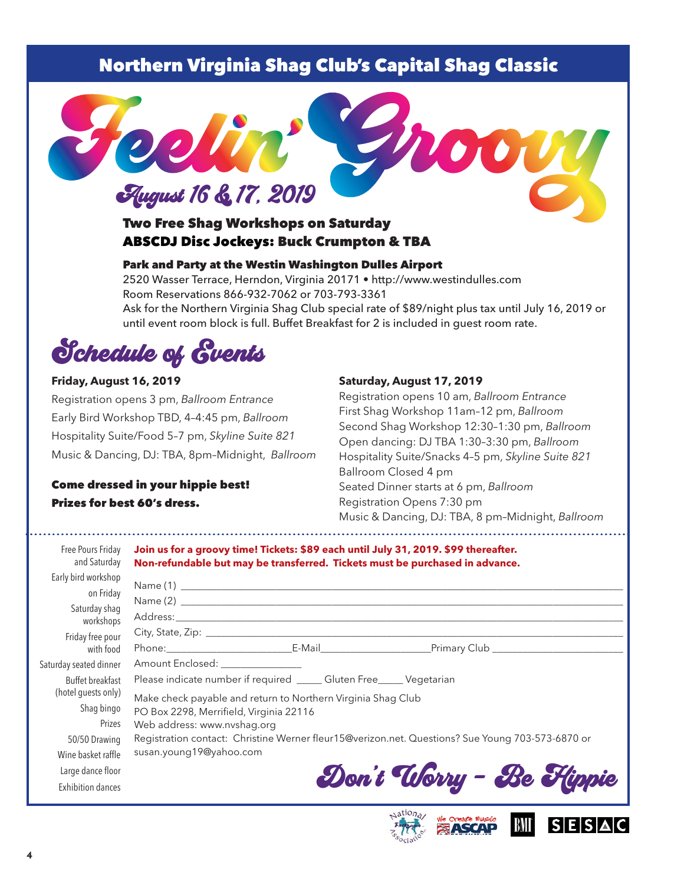### Northern Virginia Shag Club's Capital Shag Classic



### Two Free Shag Workshops on Saturday ABSCDJ Disc Jockeys: Buck Crumpton & TBA

### Park and Party at the Westin Washington Dulles Airport

2520 Wasser Terrace, Herndon, Virginia 20171 • http://www.westindulles.com Room Reservations 866-932-7062 or 703-793-3361 Ask for the Northern Virginia Shag Club special rate of \$89/night plus tax until July 16, 2019 or until event room block is full. Buffet Breakfast for 2 is included in guest room rate.

Schedule of Events

### **Friday, August 16, 2019**

Registration opens 3 pm, *Ballroom Entrance* Early Bird Workshop TBD, 4–4:45 pm, *Ballroom* Hospitality Suite/Food 5–7 pm, *Skyline Suite 821* Music & Dancing, DJ: TBA, 8pm–Midnight, *Ballroom*

### Come dressed in your hippie best! Prizes for best 60's dress.

### **Saturday, August 17, 2019**

Registration opens 10 am, *Ballroom Entrance* First Shag Workshop 11am –12 pm, *Ballroom* Second Shag Workshop 12:30–1:30 pm, *Ballroom* Open dancing: DJ TBA 1:30–3:30 pm, *Ballroom* Hospitality Suite/Snacks 4–5 pm, *Skyline Suite 821* Ballroom Closed 4 pm Seated Dinner starts at 6 pm, *Ballroom* Registration Opens 7:30 pm Music & Dancing, DJ: TBA, 8 pm–Midnight, *Ballroom*

| Free Pours Friday<br>and Saturday                               | Join us for a groovy time! Tickets: \$89 each until July 31, 2019. \$99 thereafter.<br>Non-refundable but may be transferred. Tickets must be purchased in advance.                                            |  |                                                                                                  |  |  |
|-----------------------------------------------------------------|----------------------------------------------------------------------------------------------------------------------------------------------------------------------------------------------------------------|--|--------------------------------------------------------------------------------------------------|--|--|
| Early bird workshop<br>on Friday<br>Saturday shaq<br>workshops  |                                                                                                                                                                                                                |  |                                                                                                  |  |  |
| Friday free pour<br>with food                                   |                                                                                                                                                                                                                |  |                                                                                                  |  |  |
| Saturday seated dinner                                          | Amount Enclosed: _______________                                                                                                                                                                               |  |                                                                                                  |  |  |
| Buffet breakfast<br>(hotel guests only)<br>Shag bingo<br>Prizes | Please indicate number if required _____ Gluten Free_____ Vegetarian<br>Make check payable and return to Northern Virginia Shag Club<br>PO Box 2298, Merrifield, Virginia 22116<br>Web address: www.nvshag.org |  |                                                                                                  |  |  |
| 50/50 Drawing<br>Wine basket raffle                             | susan.young19@yahoo.com                                                                                                                                                                                        |  | Registration contact: Christine Werner fleur15@verizon.net. Questions? Sue Young 703-573-6870 or |  |  |
| Large dance floor<br><b>Exhibition dances</b>                   |                                                                                                                                                                                                                |  | Don't Worry - Be Flippie                                                                         |  |  |



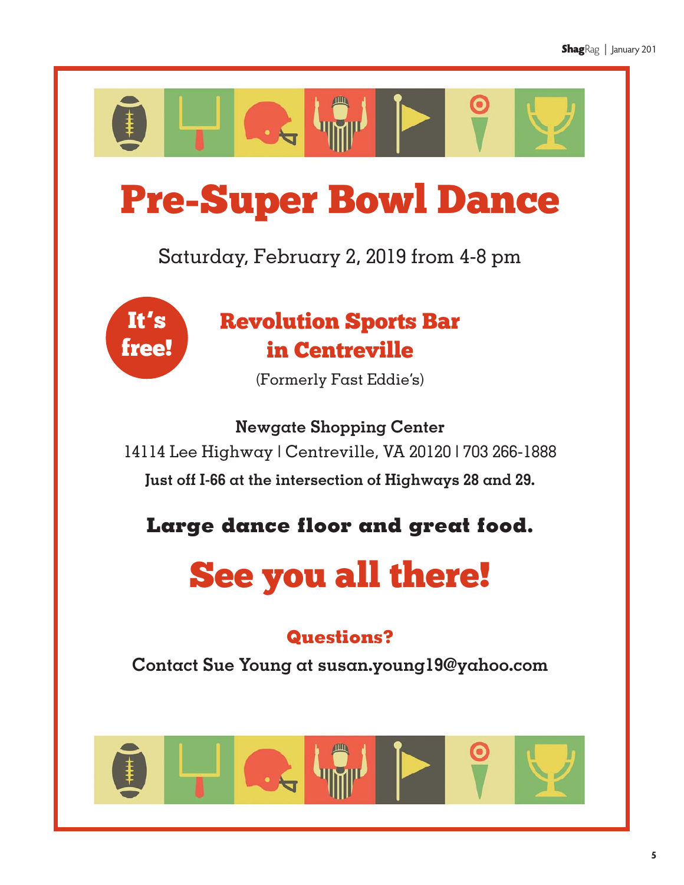

# Pre-Super Bowl Dance

Saturday, February 2, 2019 from 4-8 pm



# Revolution Sports Bar in Centreville

(Formerly Fast Eddie's)

**Newgate Shopping Center** 14114 Lee Highway | Centreville, VA 20120 | 703 266-1888 **Just off I-66 at the intersection of Highways 28 and 29.** 

**Large dance floor and great food.** 

# See you all there!

## **Questions?**

**Contact Sue Young at susan.young19@yahoo.com**

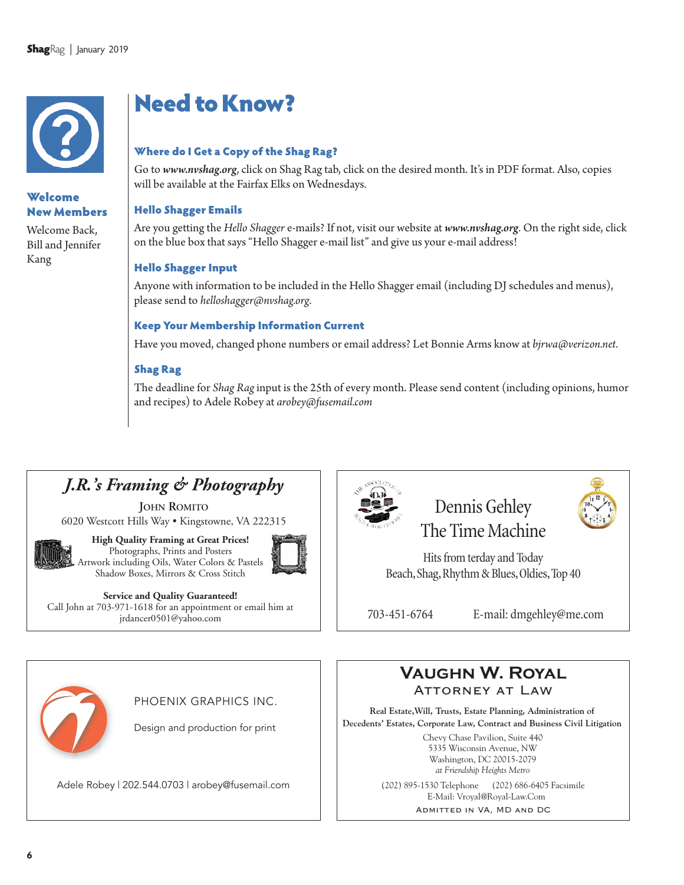

### Welcome New Members

Welcome Back, Bill and Jennifer Kang

# Need to Know?

### Where do I Get a Copy of the Shag Rag?

Go to *www.nvshag.org*, click on Shag Rag tab, click on the desired month. It's in PDF format. Also, copies will be available at the Fairfax Elks on Wednesdays.

### Hello Shagger Emails

Are you getting the *Hello Shagger* e-mails? If not, visit our website at *www.nvshag.org*. On the right side, click on the blue box that says "Hello Shagger e-mail list" and give us your e-mail address!

### Hello Shagger Input

Anyone with information to be included in the Hello Shagger email (including DJ schedules and menus), please send to *helloshagger@nvshag.org*.

### Keep Your Membership Information Current

Have you moved, changed phone numbers or email address? Let Bonnie Arms know at *bjrwa@verizon.net*.

### Shag Rag

The deadline for *Shag Rag*input is the 25th of every month. Please send content (including opinions, humor and recipes) to Adele Robey at *arobey@fusemail.com*

### *J.R.'s Framing & Photography*

**JOHN ROMITO** 6020 Westcott Hills Way • Kingstowne, VA 222315



**High Quality Framing at Great Prices!** Photographs, Prints and Posters Artwork including Oils, Water Colors & Pastels Shadow Boxes, Mirrors & Cross Stitch



### **Service and Quality Guaranteed!**

Call John at 703-971-1618 for an appointment or email him at jrdancer0501@yahoo.com



### Dennis Gehley The Time Machine

Hits from terday and Today Beach, Shag, Rhythm & Blues, Oldies, Top 40

703-451-6764 E-mail: dmgehley@me.com



### PHOENIX GRAPHICS INC.

Design and production for print

Adele Robey | 202.544.0703 | arobey@fusemail.com (202) 895-1530 Telephone (202) 686-6405 Facsimile



**Real Estate,Will, Trusts, Estate Planning, Administration of Decedents' Estates, Corporate Law, Contract and Business Civil Litigation**

> Chevy Chase Pavilion, Suite 440 5335 Wisconsin Avenue, NW Washington, DC 20015-2079 *at Friendship Heights Metro*

E-Mail: Vroyal@Royal-Law.Com

Admitted in VA, MD and DC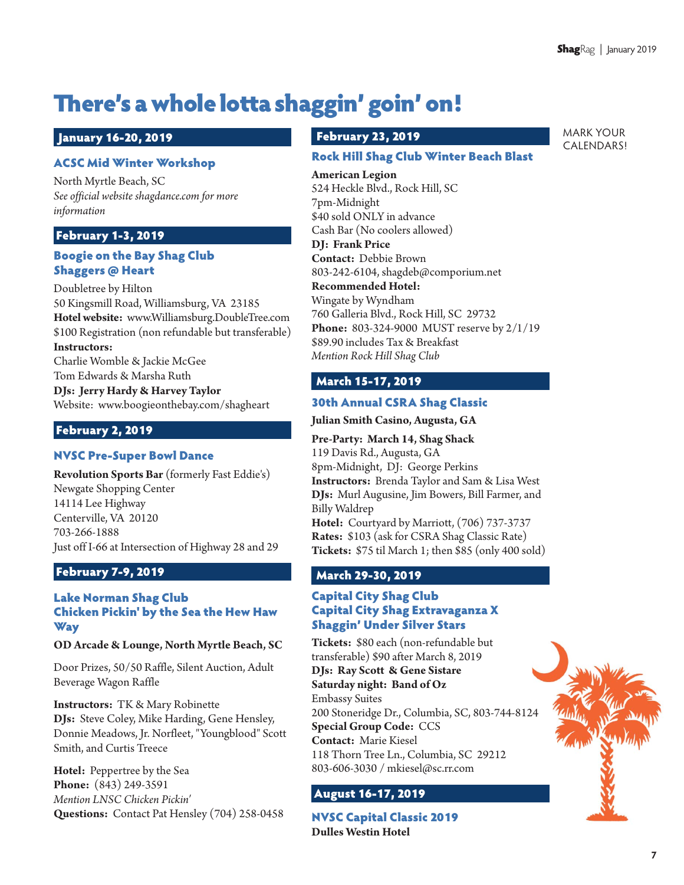MARK YOUR CALENDARS!

# There's a whole lotta shaggin' goin' on!

### January 16-20, 2019

### ACSC Mid Winter Workshop

North Myrtle Beach, SC *See official website shagdance.com for more information*

### February 1-3, 2019

### Boogie on the Bay Shag Club Shaggers @ Heart

Doubletree by Hilton 50 Kingsmill Road, Williamsburg, VA 23185 **Hotel website:** www.Williamsburg.DoubleTree.com \$100 Registration (non refundable but transferable) **Instructors:** 

Charlie Womble & Jackie McGee Tom Edwards & Marsha Ruth

**DJs: Jerry Hardy & Harvey Taylor** Website: www.boogieonthebay.com/shagheart

### February 2, 2019

### NVSC Pre-Super Bowl Dance

**Revolution Sports Bar** (formerly Fast Eddie's) Newgate Shopping Center 14114 Lee Highway Centerville, VA 20120 703-266-1888 Just off I-66 at Intersection of Highway 28 and 29

### February 7-9, 2019

### Lake Norman Shag Club Chicken Pickin' by the Sea the Hew Haw Way

### **OD Arcade & Lounge, North Myrtle Beach, SC**

Door Prizes, 50/50 Raffle, Silent Auction, Adult Beverage Wagon Raffle

**Instructors:** TK & Mary Robinette **DJs:** Steve Coley, Mike Harding, Gene Hensley, Donnie Meadows, Jr. Norfleet, "Youngblood" Scott Smith, and Curtis Treece

**Hotel:** Peppertree by the Sea **Phone:** (843) 249-3591 *Mention LNSC Chicken Pickin'* **Questions:** Contact Pat Hensley (704) 258-0458

### February 23, 2019

### Rock Hill Shag Club Winter Beach Blast

**American Legion** 524 Heckle Blvd., Rock Hill, SC 7pm-Midnight \$40 sold ONLY in advance Cash Bar (No coolers allowed) **DJ: Frank Price**

**Contact:**  Debbie Brown 803-242-6104, shagdeb@comporium.net

#### **Recommended Hotel:**

Wingate by Wyndham 760 Galleria Blvd., Rock Hill, SC 29732 **Phone:**  803-324-9000 MUST reserve by 2/1/19 \$89.90 includes Tax & Breakfast *Mention Rock Hill Shag Club*

### March 15-17, 2019

### 30th Annual CSRA Shag Classic

### **Julian Smith Casino, Augusta, GA**

**Pre-Party: March 14, Shag Shack** 119 Davis Rd., Augusta, GA 8pm-Midnight, DJ: George Perkins **Instructors:** Brenda Taylor and Sam & Lisa West **DJs:** Murl Augusine, Jim Bowers, Bill Farmer, and Billy Waldrep **Hotel:** Courtyard by Marriott, (706) 737-3737 **Rates:** \$103 (ask for CSRA Shag Classic Rate) **Tickets:** \$75 til March 1; then \$85 (only 400 sold)

### March 29-30, 2019

### Capital City Shag Club Capital City Shag Extravaganza X Shaggin' Under Silver Stars

**Tickets:** \$80 each (non-refundable but transferable) \$90 after March 8, 2019 **DJs: Ray Scott & Gene Sistare Saturday night: Band of Oz** Embassy Suites 200 Stoneridge Dr., Columbia, SC, 803-744-8124 **Special Group Code:**  CCS **Contact:** Marie Kiesel 118 Thorn Tree Ln., Columbia, SC 29212 803-606-3030 / mkiesel@sc.rr.com

### August 16-17, 2019

NVSC Capital Classic 2019 **Dulles Westin Hotel**